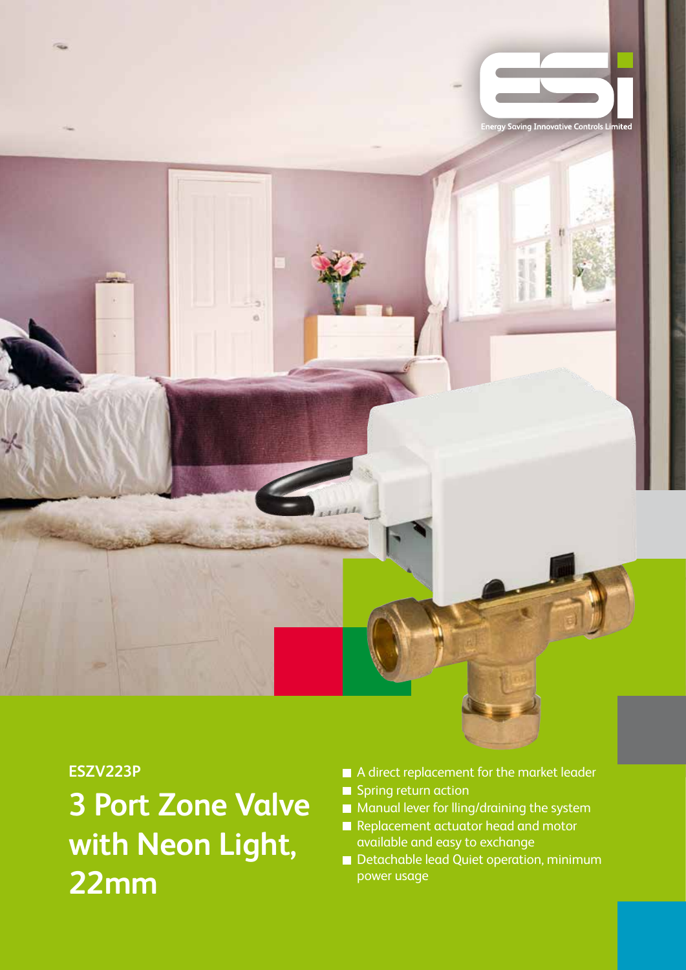

## **ESZV223P**

**3 Port Zone Valve with Neon Light, 22mm**

- A direct replacement for the market leader Spring return action
- Manual lever for lling/draining the system
- Replacement actuator head and motor available and easy to exchange
- Detachable lead Quiet operation, minimum power usage